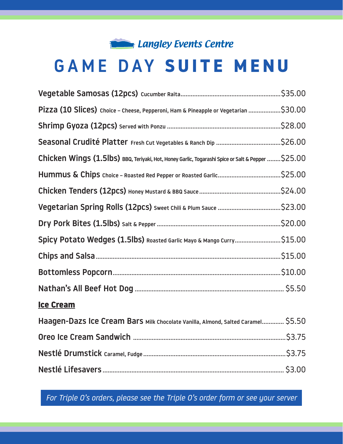## **Control Centre 1 Langley Events Centre**

# GAME DAY **SUITE MENU**

| Pizza (10 Slices) Choice - Cheese, Pepperoni, Ham & Pineapple or Vegetarian \$30.00               |  |
|---------------------------------------------------------------------------------------------------|--|
|                                                                                                   |  |
|                                                                                                   |  |
| Chicken Wings (1.5lbs) BBQ, Teriyaki, Hot, Honey Garlic, Togarashi Spice or Salt & Pepper \$25.00 |  |
|                                                                                                   |  |
|                                                                                                   |  |
|                                                                                                   |  |
|                                                                                                   |  |
| Spicy Potato Wedges (1.5lbs) Roasted Garlic Mayo & Mango Curry\$15.00                             |  |
|                                                                                                   |  |
|                                                                                                   |  |
|                                                                                                   |  |
| <b>Ice Cream</b>                                                                                  |  |
| Haagen-Dazs Ice Cream Bars Milk Chocolate Vanilla, Almond, Salted Caramel \$5.50                  |  |
|                                                                                                   |  |
|                                                                                                   |  |
|                                                                                                   |  |

*For Triple O's orders, please see the Triple O's order form or see your server*